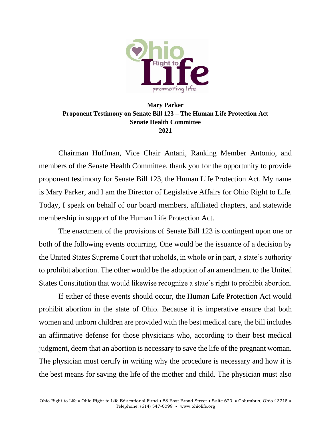

## **Mary Parker Proponent Testimony on Senate Bill 123 – The Human Life Protection Act Senate Health Committee 2021**

Chairman Huffman, Vice Chair Antani, Ranking Member Antonio, and members of the Senate Health Committee, thank you for the opportunity to provide proponent testimony for Senate Bill 123, the Human Life Protection Act. My name is Mary Parker, and I am the Director of Legislative Affairs for Ohio Right to Life. Today, I speak on behalf of our board members, affiliated chapters, and statewide membership in support of the Human Life Protection Act.

The enactment of the provisions of Senate Bill 123 is contingent upon one or both of the following events occurring. One would be the issuance of a decision by the United States Supreme Court that upholds, in whole or in part, a state's authority to prohibit abortion. The other would be the adoption of an amendment to the United States Constitution that would likewise recognize a state's right to prohibit abortion.

If either of these events should occur, the Human Life Protection Act would prohibit abortion in the state of Ohio. Because it is imperative ensure that both women and unborn children are provided with the best medical care, the bill includes an affirmative defense for those physicians who, according to their best medical judgment, deem that an abortion is necessary to save the life of the pregnant woman. The physician must certify in writing why the procedure is necessary and how it is the best means for saving the life of the mother and child. The physician must also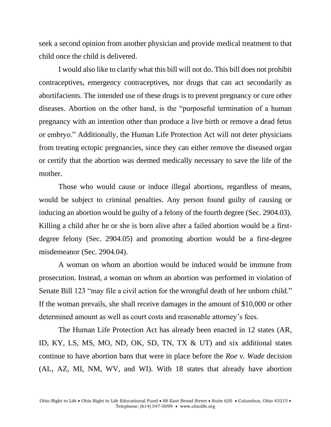seek a second opinion from another physician and provide medical treatment to that child once the child is delivered.

I would also like to clarify what this bill will not do. This bill does not prohibit contraceptives, emergency contraceptives, nor drugs that can act secondarily as abortifacients. The intended use of these drugs is to prevent pregnancy or cure other diseases. Abortion on the other hand, is the "purposeful termination of a human pregnancy with an intention other than produce a live birth or remove a dead fetus or embryo." Additionally, the Human Life Protection Act will not deter physicians from treating ectopic pregnancies, since they can either remove the diseased organ or certify that the abortion was deemed medically necessary to save the life of the mother.

Those who would cause or induce illegal abortions, regardless of means, would be subject to criminal penalties. Any person found guilty of causing or inducing an abortion would be guilty of a felony of the fourth degree (Sec. 2904.03). Killing a child after he or she is born alive after a failed abortion would be a firstdegree felony (Sec. 2904.05) and promoting abortion would be a first-degree misdemeanor (Sec. 2904.04).

A woman on whom an abortion would be induced would be immune from prosecution. Instead, a woman on whom an abortion was performed in violation of Senate Bill 123 "may file a civil action for the wrongful death of her unborn child." If the woman prevails, she shall receive damages in the amount of \$10,000 or other determined amount as well as court costs and reasonable attorney's fees.

The Human Life Protection Act has already been enacted in 12 states (AR, ID, KY, LS, MS, MO, ND, OK, SD, TN, TX & UT) and six additional states continue to have abortion bans that were in place before the *Roe v. Wade* decision (AL, AZ, MI, NM, WV, and WI). With 18 states that already have abortion